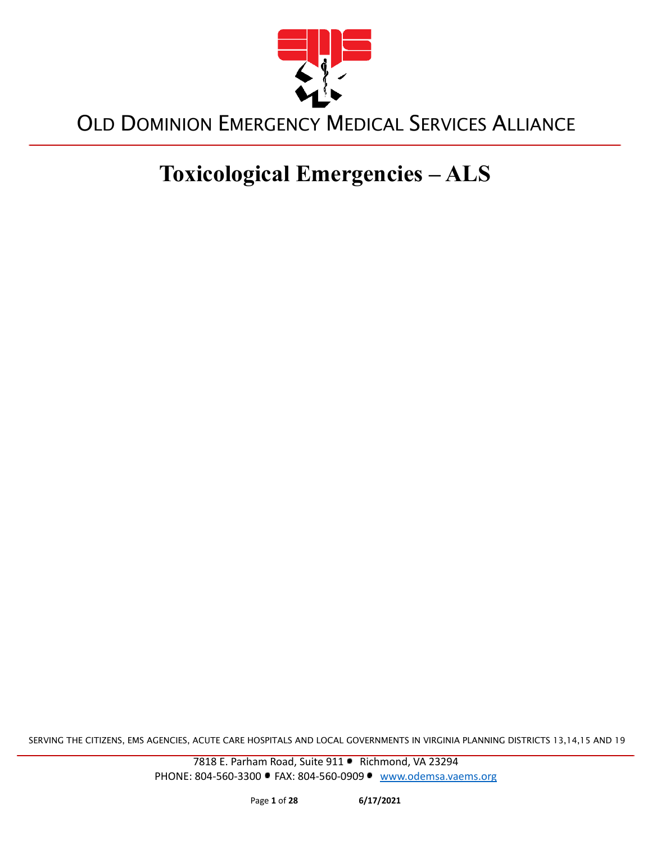

# **Toxicological Emergencies – ALS**

SERVING THE CITIZENS, EMS AGENCIES, ACUTE CARE HOSPITALS AND LOCAL GOVERNMENTS IN VIRGINIA PLANNING DISTRICTS 13,14,15 AND 19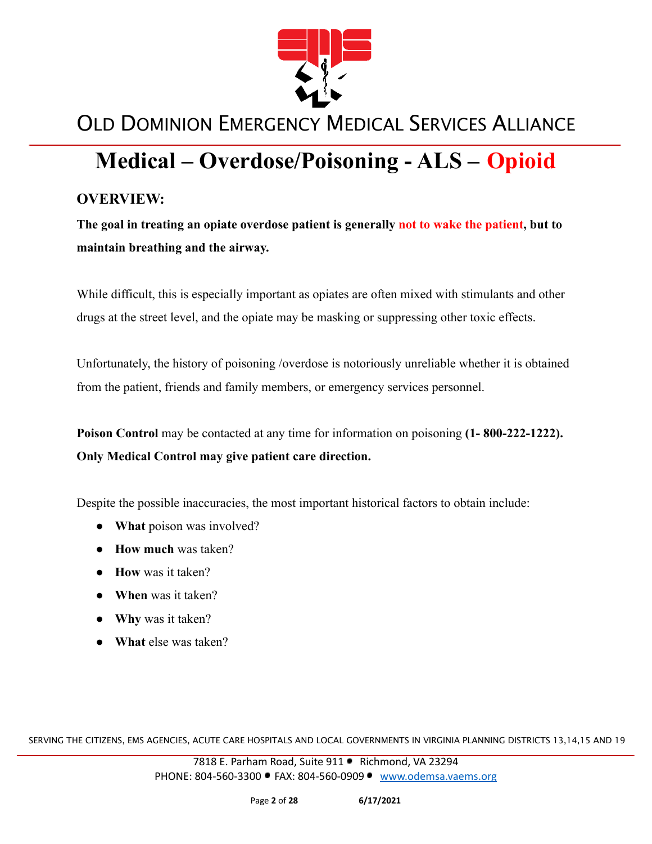

# **Medical – Overdose/Poisoning - ALS – Opioid**

### **OVERVIEW:**

**The goal in treating an opiate overdose patient is generally not to wake the patient, but to maintain breathing and the airway.**

While difficult, this is especially important as opiates are often mixed with stimulants and other drugs at the street level, and the opiate may be masking or suppressing other toxic effects.

Unfortunately, the history of poisoning /overdose is notoriously unreliable whether it is obtained from the patient, friends and family members, or emergency services personnel.

**Poison Control** may be contacted at any time for information on poisoning **(1- 800-222-1222). Only Medical Control may give patient care direction.**

Despite the possible inaccuracies, the most important historical factors to obtain include:

- **What** poison was involved?
- **How much** was taken?
- **How** was it taken?
- **When** was it taken?
- **● Why** was it taken?
- **● What** else was taken?

SERVING THE CITIZENS, EMS AGENCIES, ACUTE CARE HOSPITALS AND LOCAL GOVERNMENTS IN VIRGINIA PLANNING DISTRICTS 13,14,15 AND 19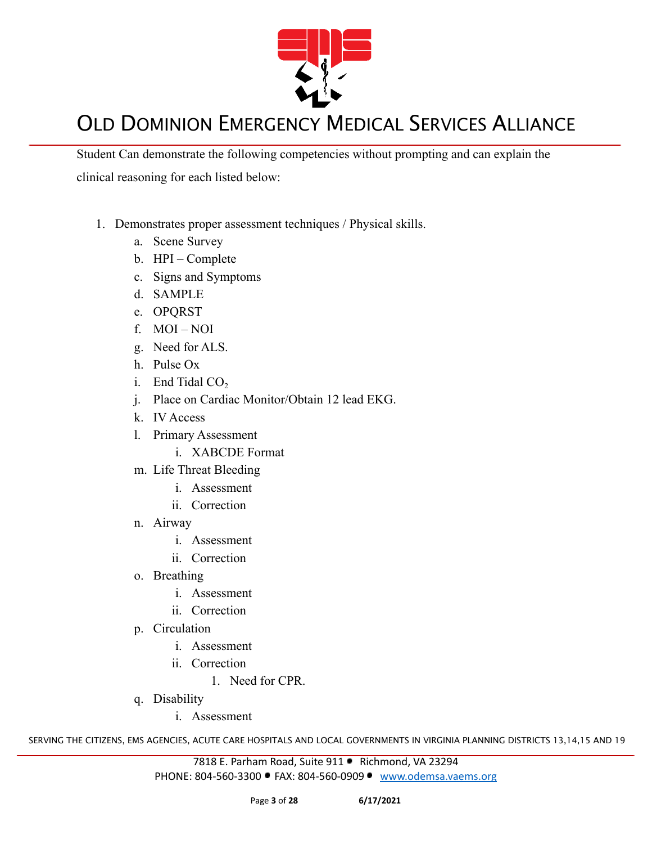

Student Can demonstrate the following competencies without prompting and can explain the clinical reasoning for each listed below:

- 1. Demonstrates proper assessment techniques / Physical skills.
	- a. Scene Survey
	- b. HPI Complete
	- c. Signs and Symptoms
	- d. SAMPLE
	- e. OPQRST
	- f. MOI NOI
	- g. Need for ALS.
	- h. Pulse Ox
	- i. End Tidal  $CO<sub>2</sub>$
	- j. Place on Cardiac Monitor/Obtain 12 lead EKG.
	- k. IV Access
	- l. Primary Assessment
		- i. XABCDE Format
	- m. Life Threat Bleeding
		- i. Assessment
		- ii. Correction
	- n. Airway
		- i. Assessment
		- ii. Correction
	- o. Breathing
		- i. Assessment
		- ii. Correction
	- p. Circulation
		- i. Assessment
		- ii. Correction
			- 1. Need for CPR.
	- q. Disability
		- i. Assessment

SERVING THE CITIZENS, EMS AGENCIES, ACUTE CARE HOSPITALS AND LOCAL GOVERNMENTS IN VIRGINIA PLANNING DISTRICTS 13,14,15 AND 19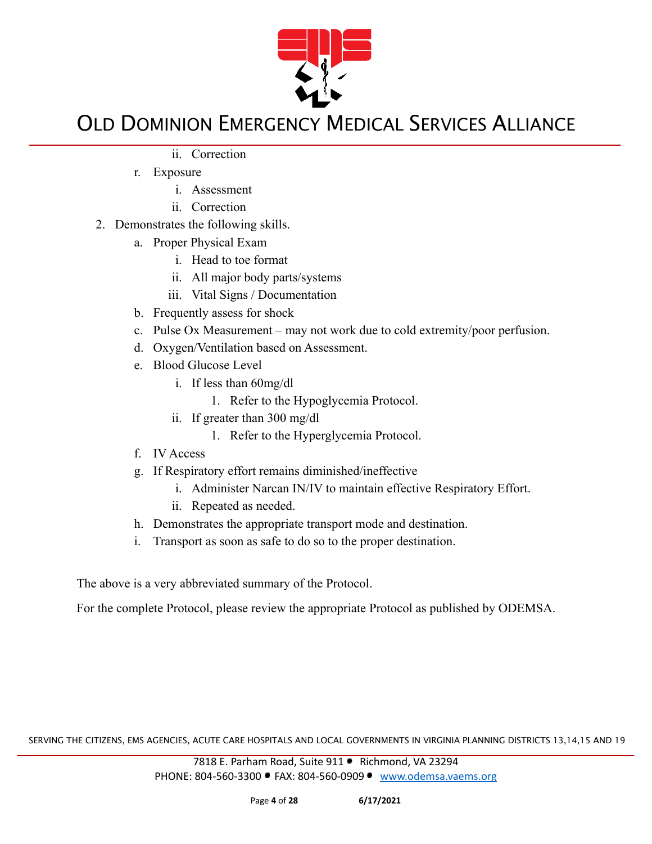

- ii. Correction
- r. Exposure
	- i. Assessment
	- ii. Correction
- 2. Demonstrates the following skills.
	- a. Proper Physical Exam
		- i. Head to toe format
		- ii. All major body parts/systems
		- iii. Vital Signs / Documentation
	- b. Frequently assess for shock
	- c. Pulse Ox Measurement may not work due to cold extremity/poor perfusion.
	- d. Oxygen/Ventilation based on Assessment.
	- e. Blood Glucose Level
		- i. If less than 60mg/dl
			- 1. Refer to the Hypoglycemia Protocol.
		- ii. If greater than 300 mg/dl
			- 1. Refer to the Hyperglycemia Protocol.
	- f. IV Access
	- g. If Respiratory effort remains diminished/ineffective
		- i. Administer Narcan IN/IV to maintain effective Respiratory Effort.
		- ii. Repeated as needed.
	- h. Demonstrates the appropriate transport mode and destination.
	- i. Transport as soon as safe to do so to the proper destination.

The above is a very abbreviated summary of the Protocol.

For the complete Protocol, please review the appropriate Protocol as published by ODEMSA.

SERVING THE CITIZENS, EMS AGENCIES, ACUTE CARE HOSPITALS AND LOCAL GOVERNMENTS IN VIRGINIA PLANNING DISTRICTS 13,14,15 AND 19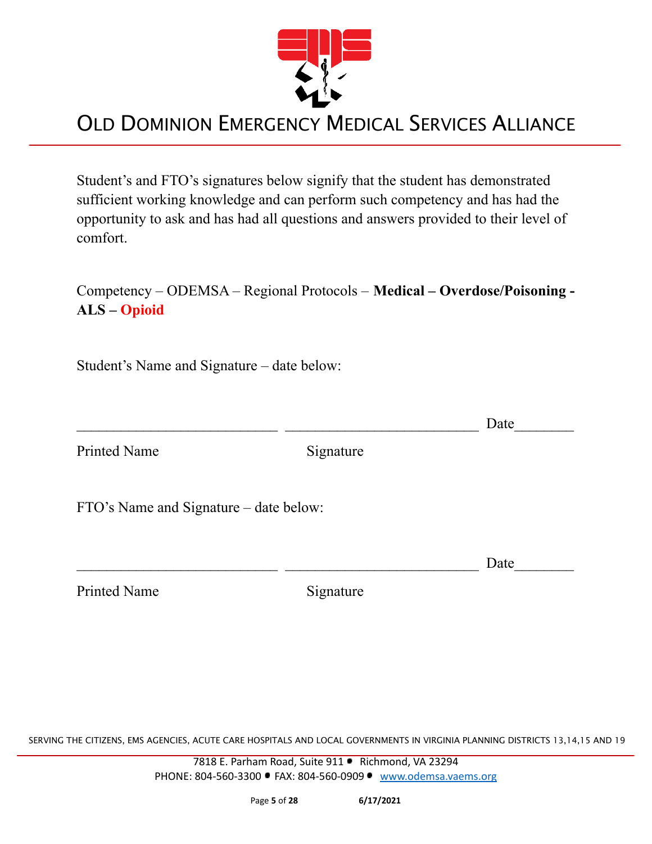

Student's and FTO's signatures below signify that the student has demonstrated sufficient working knowledge and can perform such competency and has had the opportunity to ask and has had all questions and answers provided to their level of comfort.

### Competency – ODEMSA – Regional Protocols – **Medical – Overdose/Poisoning - ALS – Opioid**

Student's Name and Signature – date below:

|                                        |           | Date |
|----------------------------------------|-----------|------|
| <b>Printed Name</b>                    | Signature |      |
| FTO's Name and Signature – date below: |           |      |
|                                        |           | Date |
| <b>Printed Name</b>                    | Signature |      |

SERVING THE CITIZENS, EMS AGENCIES, ACUTE CARE HOSPITALS AND LOCAL GOVERNMENTS IN VIRGINIA PLANNING DISTRICTS 13,14,15 AND 19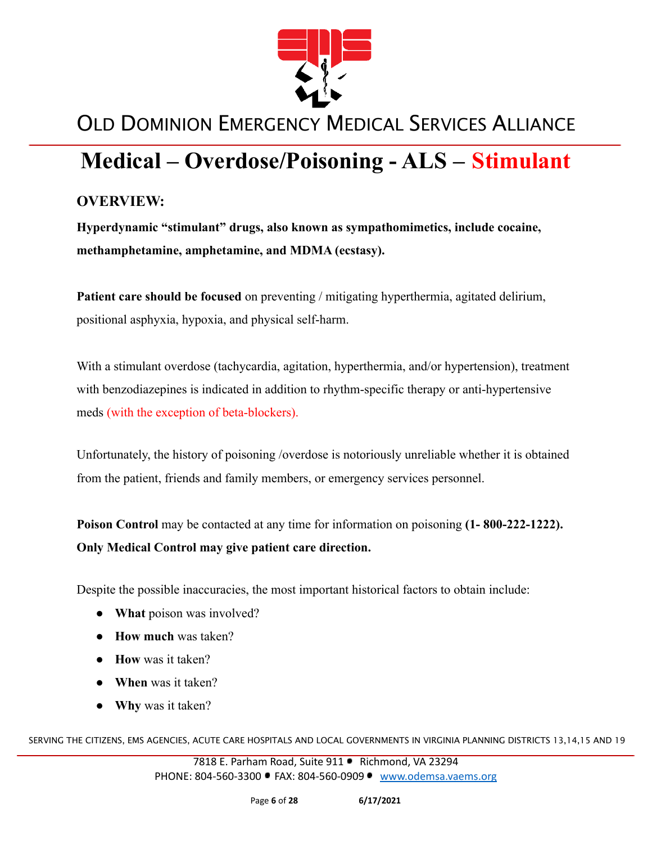

# **Medical – Overdose/Poisoning - ALS – Stimulant**

### **OVERVIEW:**

**Hyperdynamic "stimulant" drugs, also known as sympathomimetics, include cocaine, methamphetamine, amphetamine, and MDMA (ecstasy).**

**Patient care should be focused** on preventing / mitigating hyperthermia, agitated delirium, positional asphyxia, hypoxia, and physical self-harm.

With a stimulant overdose (tachycardia, agitation, hyperthermia, and/or hypertension), treatment with benzodiazepines is indicated in addition to rhythm-specific therapy or anti-hypertensive meds (with the exception of beta-blockers).

Unfortunately, the history of poisoning /overdose is notoriously unreliable whether it is obtained from the patient, friends and family members, or emergency services personnel.

**Poison Control** may be contacted at any time for information on poisoning **(1- 800-222-1222). Only Medical Control may give patient care direction.**

Despite the possible inaccuracies, the most important historical factors to obtain include:

- **What** poison was involved?
- **How much** was taken?
- **How** was it taken?
- **When** was it taken?
- **● Why** was it taken?

SERVING THE CITIZENS, EMS AGENCIES, ACUTE CARE HOSPITALS AND LOCAL GOVERNMENTS IN VIRGINIA PLANNING DISTRICTS 13,14,15 AND 19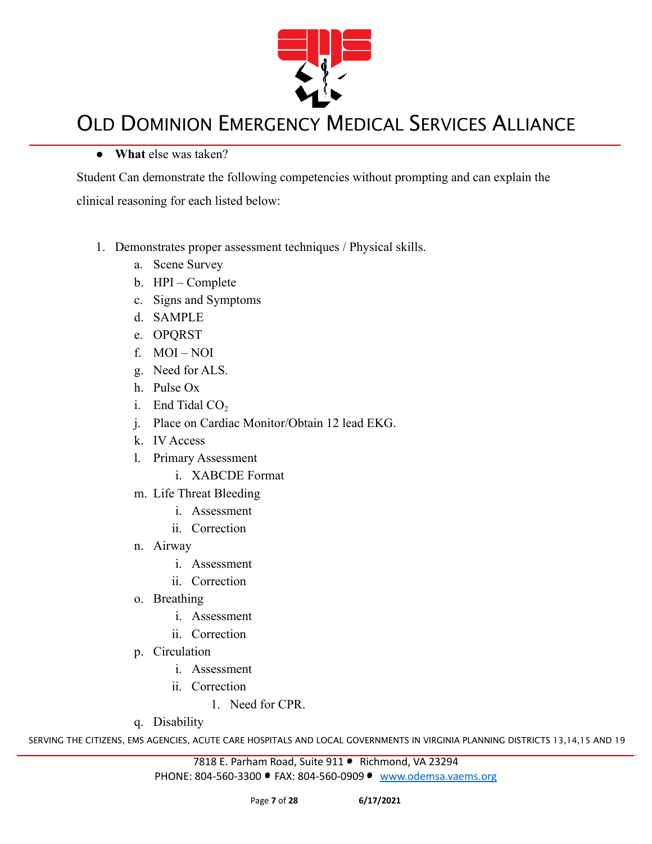

#### **● What** else was taken?

Student Can demonstrate the following competencies without prompting and can explain the clinical reasoning for each listed below:

- 1. Demonstrates proper assessment techniques / Physical skills.
	- a. Scene Survey
	- b. HPI Complete
	- c. Signs and Symptoms
	- d. SAMPLE
	- e. OPQRST
	- f. MOI NOI
	- g. Need for ALS.
	- h. Pulse Ox
	- i. End Tidal  $CO<sub>2</sub>$
	- j. Place on Cardiac Monitor/Obtain 12 lead EKG.
	- k. IV Access
	- l. Primary Assessment
		- i. XABCDE Format
	- m. Life Threat Bleeding
		- i. Assessment
		- ii. Correction
	- n. Airway
		- i. Assessment
		- ii. Correction
	- o. Breathing
		- i. Assessment
		- ii. Correction
	- p. Circulation
		- i. Assessment
		- ii. Correction
			- 1. Need for CPR.
	- q. Disability

SERVING THE CITIZENS, EMS AGENCIES, ACUTE CARE HOSPITALS AND LOCAL GOVERNMENTS IN VIRGINIA PLANNING DISTRICTS 13,14,15 AND 19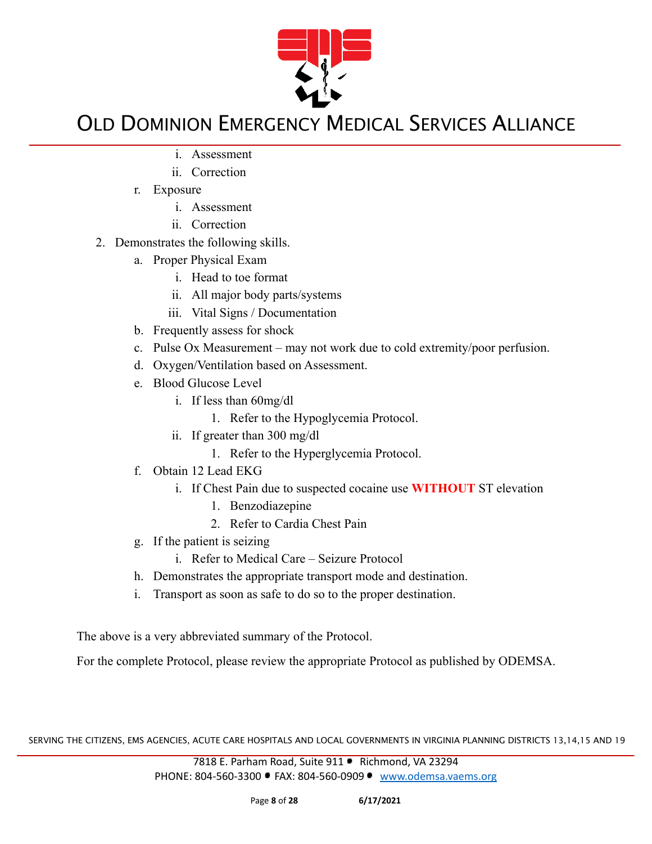

- i. Assessment
- ii. Correction
- r. Exposure
	- i. Assessment
	- ii. Correction
- 2. Demonstrates the following skills.
	- a. Proper Physical Exam
		- i. Head to toe format
		- ii. All major body parts/systems
		- iii. Vital Signs / Documentation
	- b. Frequently assess for shock
	- c. Pulse Ox Measurement may not work due to cold extremity/poor perfusion.
	- d. Oxygen/Ventilation based on Assessment.
	- e. Blood Glucose Level
		- i. If less than 60mg/dl
			- 1. Refer to the Hypoglycemia Protocol.
		- ii. If greater than 300 mg/dl
			- 1. Refer to the Hyperglycemia Protocol.
	- f. Obtain 12 Lead EKG
		- i. If Chest Pain due to suspected cocaine use **WITHOUT** ST elevation
			- 1. Benzodiazepine
			- 2. Refer to Cardia Chest Pain
	- g. If the patient is seizing
		- i. Refer to Medical Care Seizure Protocol
	- h. Demonstrates the appropriate transport mode and destination.
	- i. Transport as soon as safe to do so to the proper destination.

The above is a very abbreviated summary of the Protocol.

For the complete Protocol, please review the appropriate Protocol as published by ODEMSA.

SERVING THE CITIZENS, EMS AGENCIES, ACUTE CARE HOSPITALS AND LOCAL GOVERNMENTS IN VIRGINIA PLANNING DISTRICTS 13,14,15 AND 19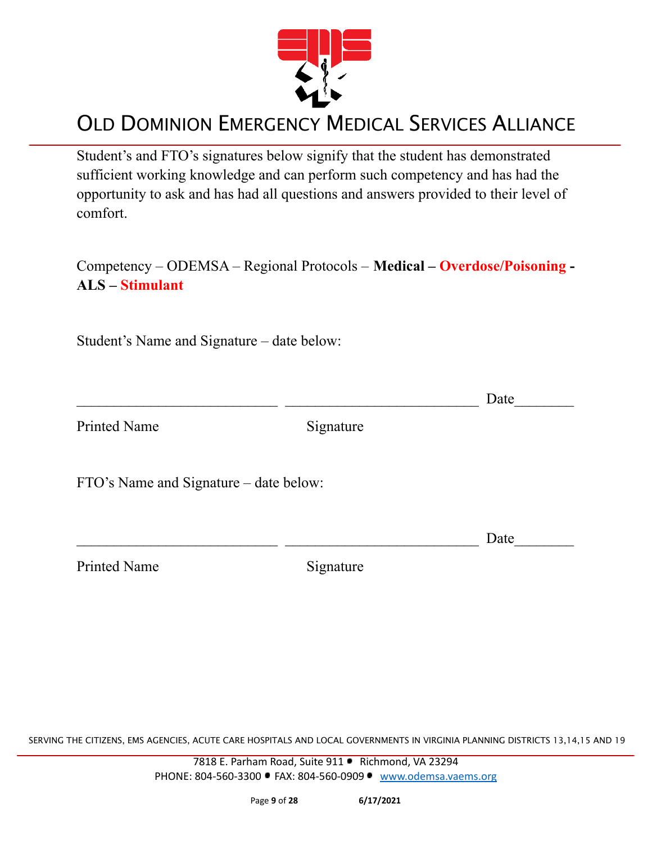

Student's and FTO's signatures below signify that the student has demonstrated sufficient working knowledge and can perform such competency and has had the opportunity to ask and has had all questions and answers provided to their level of comfort.

Competency – ODEMSA – Regional Protocols – **Medical – Overdose/Poisoning - ALS – Stimulant**

 $\Box$  Date

Student's Name and Signature – date below:

Printed Name Signature

FTO's Name and Signature – date below:

Printed Name Signature

 $\Box$  Date

SERVING THE CITIZENS, EMS AGENCIES, ACUTE CARE HOSPITALS AND LOCAL GOVERNMENTS IN VIRGINIA PLANNING DISTRICTS 13,14,15 AND 19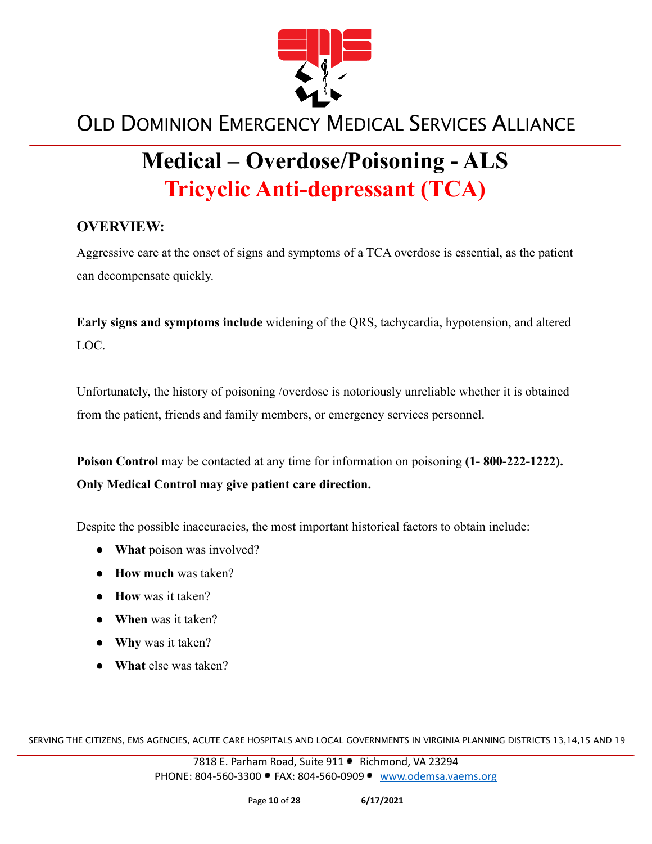

# **Medical – Overdose/Poisoning - ALS Tricyclic Anti-depressant (TCA)**

### **OVERVIEW:**

Aggressive care at the onset of signs and symptoms of a TCA overdose is essential, as the patient can decompensate quickly.

**Early signs and symptoms include** widening of the QRS, tachycardia, hypotension, and altered LOC.

Unfortunately, the history of poisoning /overdose is notoriously unreliable whether it is obtained from the patient, friends and family members, or emergency services personnel.

**Poison Control** may be contacted at any time for information on poisoning **(1- 800-222-1222). Only Medical Control may give patient care direction.**

Despite the possible inaccuracies, the most important historical factors to obtain include:

- **What** poison was involved?
- **How much** was taken?
- **How** was it taken?
- **When** was it taken?
- **● Why** was it taken?
- **● What** else was taken?

SERVING THE CITIZENS, EMS AGENCIES, ACUTE CARE HOSPITALS AND LOCAL GOVERNMENTS IN VIRGINIA PLANNING DISTRICTS 13,14,15 AND 19

7818 E. Parham Road, Suite 911 · Richmond, VA 23294 PHONE: 804-560-3300 FAX: 804-560-0909 [www.odemsa.vaems.org](http://www.odemsa.vaems.org)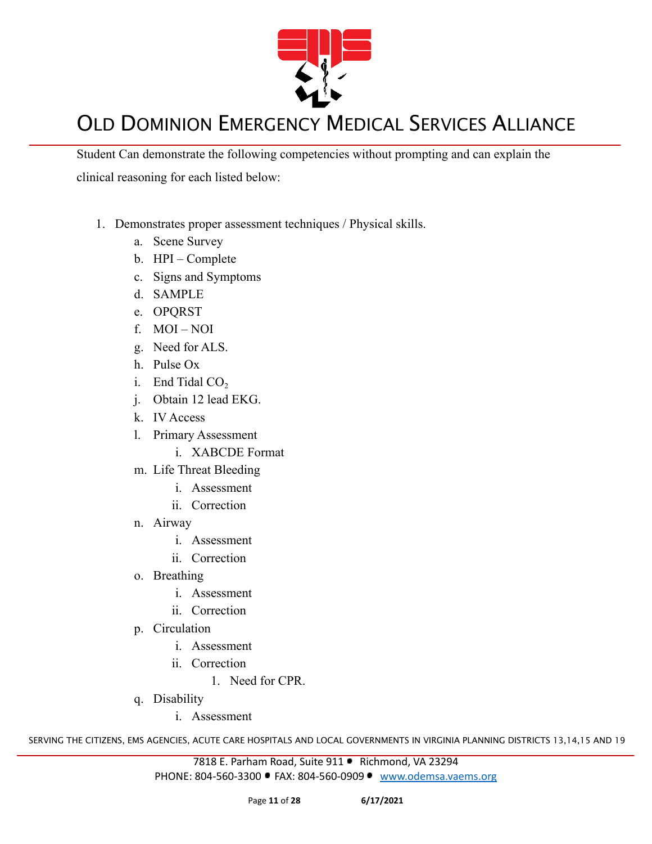

Student Can demonstrate the following competencies without prompting and can explain the clinical reasoning for each listed below:

- 1. Demonstrates proper assessment techniques / Physical skills.
	- a. Scene Survey
	- b. HPI Complete
	- c. Signs and Symptoms
	- d. SAMPLE
	- e. OPQRST
	- f. MOI NOI
	- g. Need for ALS.
	- h. Pulse Ox
	- i. End Tidal  $CO<sub>2</sub>$
	- j. Obtain 12 lead EKG.
	- k. IV Access
	- l. Primary Assessment
		- i. XABCDE Format
	- m. Life Threat Bleeding
		- i. Assessment
		- ii. Correction
	- n. Airway
		- i. Assessment
		- ii. Correction
	- o. Breathing
		- i. Assessment
		- ii. Correction
	- p. Circulation
		- i. Assessment
		- ii. Correction
			- 1. Need for CPR.
	- q. Disability
		- i. Assessment

SERVING THE CITIZENS, EMS AGENCIES, ACUTE CARE HOSPITALS AND LOCAL GOVERNMENTS IN VIRGINIA PLANNING DISTRICTS 13,14,15 AND 19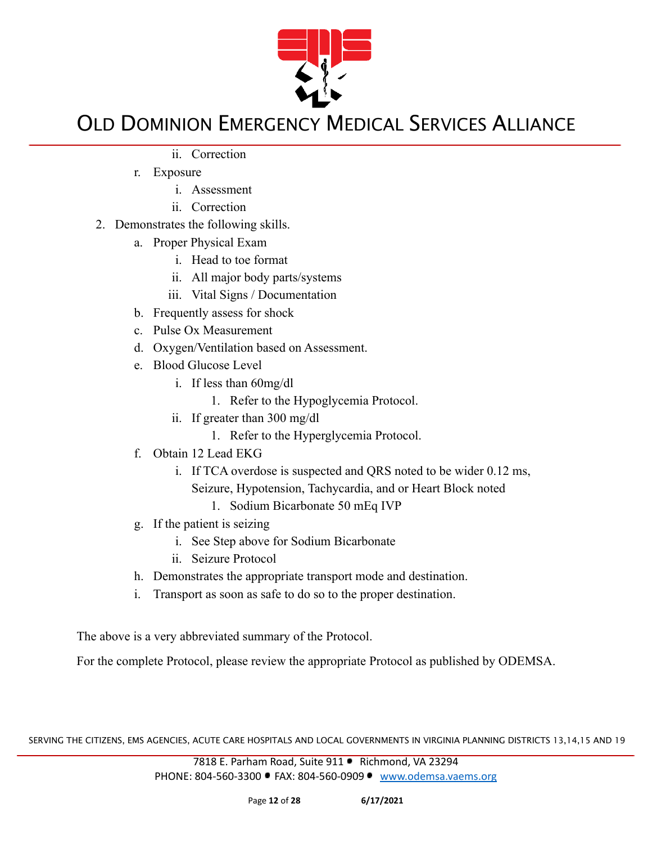

- ii. Correction
- r. Exposure
	- i. Assessment
	- ii. Correction
- 2. Demonstrates the following skills.
	- a. Proper Physical Exam
		- i. Head to toe format
		- ii. All major body parts/systems
		- iii. Vital Signs / Documentation
	- b. Frequently assess for shock
	- c. Pulse Ox Measurement
	- d. Oxygen/Ventilation based on Assessment.
	- e. Blood Glucose Level
		- i. If less than 60mg/dl
			- 1. Refer to the Hypoglycemia Protocol.
		- ii. If greater than 300 mg/dl
			- 1. Refer to the Hyperglycemia Protocol.
	- f. Obtain 12 Lead EKG
		- i. If TCA overdose is suspected and QRS noted to be wider 0.12 ms,
			- Seizure, Hypotension, Tachycardia, and or Heart Block noted
				- 1. Sodium Bicarbonate 50 mEq IVP
	- g. If the patient is seizing
		- i. See Step above for Sodium Bicarbonate
		- ii. Seizure Protocol
	- h. Demonstrates the appropriate transport mode and destination.
	- i. Transport as soon as safe to do so to the proper destination.

The above is a very abbreviated summary of the Protocol.

For the complete Protocol, please review the appropriate Protocol as published by ODEMSA.

SERVING THE CITIZENS, EMS AGENCIES, ACUTE CARE HOSPITALS AND LOCAL GOVERNMENTS IN VIRGINIA PLANNING DISTRICTS 13,14,15 AND 19

7818 E. Parham Road, Suite 911 · Richmond, VA 23294 PHONE: 804-560-3300 FAX: 804-560-0909 [www.odemsa.vaems.org](http://www.odemsa.vaems.org)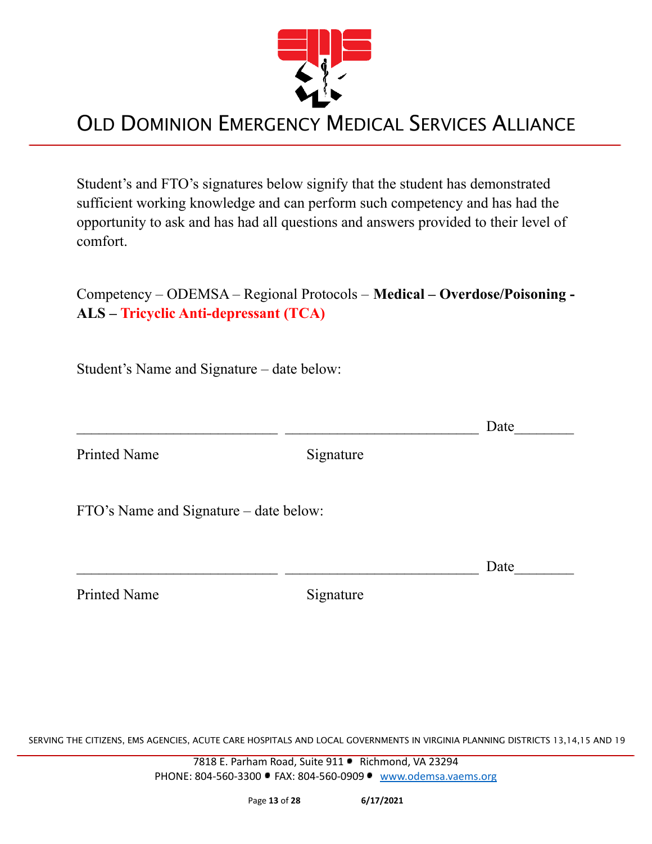

Student's and FTO's signatures below signify that the student has demonstrated sufficient working knowledge and can perform such competency and has had the opportunity to ask and has had all questions and answers provided to their level of comfort.

Competency – ODEMSA – Regional Protocols – **Medical – Overdose/Poisoning - ALS – Tricyclic Anti-depressant (TCA)**

Student's Name and Signature – date below:

 $\Box$  Date

Printed Name Signature

FTO's Name and Signature – date below:

 $\Box$  Date

Printed Name Signature

SERVING THE CITIZENS, EMS AGENCIES, ACUTE CARE HOSPITALS AND LOCAL GOVERNMENTS IN VIRGINIA PLANNING DISTRICTS 13,14,15 AND 19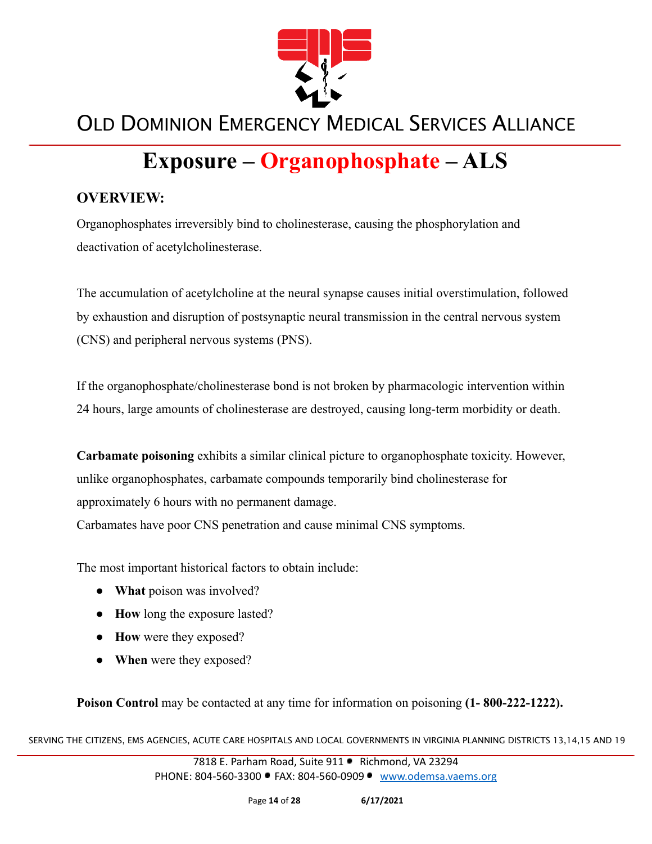

# **Exposure – Organophosphate – ALS**

### **OVERVIEW:**

Organophosphates irreversibly bind to cholinesterase, causing the phosphorylation and deactivation of acetylcholinesterase.

The accumulation of acetylcholine at the neural synapse causes initial overstimulation, followed by exhaustion and disruption of postsynaptic neural transmission in the central nervous system (CNS) and peripheral nervous systems (PNS).

If the organophosphate/cholinesterase bond is not broken by pharmacologic intervention within 24 hours, large amounts of cholinesterase are destroyed, causing long-term morbidity or death.

**Carbamate poisoning** exhibits a similar clinical picture to organophosphate toxicity. However, unlike organophosphates, carbamate compounds temporarily bind cholinesterase for approximately 6 hours with no permanent damage.

Carbamates have poor CNS penetration and cause minimal CNS symptoms.

The most important historical factors to obtain include:

- **What** poison was involved?
- **How** long the exposure lasted?
- **How** were they exposed?
- **When** were they exposed?

**Poison Control** may be contacted at any time for information on poisoning **(1- 800-222-1222).**

SERVING THE CITIZENS, EMS AGENCIES, ACUTE CARE HOSPITALS AND LOCAL GOVERNMENTS IN VIRGINIA PLANNING DISTRICTS 13,14,15 AND 19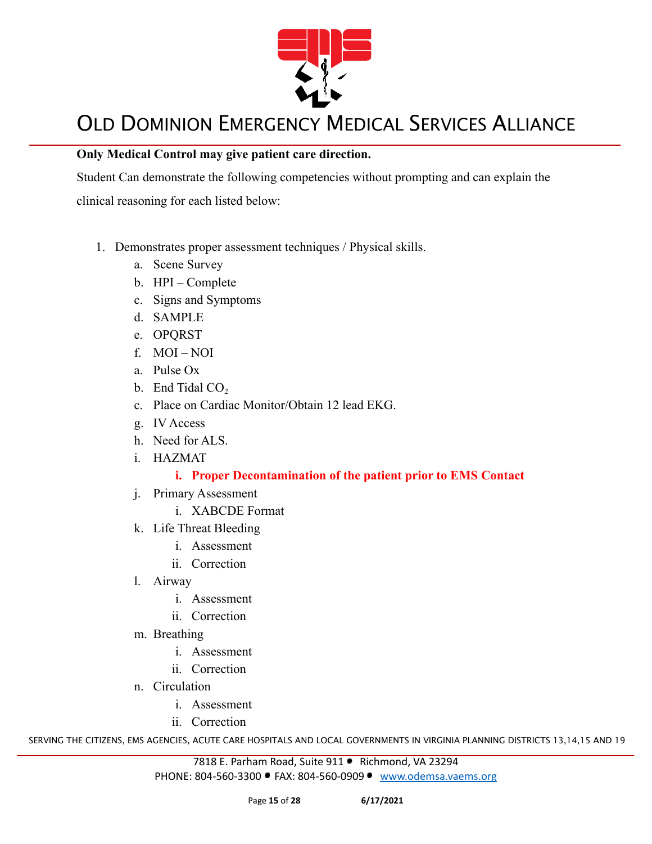

#### **Only Medical Control may give patient care direction.**

Student Can demonstrate the following competencies without prompting and can explain the clinical reasoning for each listed below:

- 1. Demonstrates proper assessment techniques / Physical skills.
	- a. Scene Survey
	- b. HPI Complete
	- c. Signs and Symptoms
	- d. SAMPLE
	- e. OPQRST
	- f. MOI NOI
	- a. Pulse Ox
	- b. End Tidal  $CO<sub>2</sub>$
	- c. Place on Cardiac Monitor/Obtain 12 lead EKG.
	- g. IV Access
	- h. Need for ALS.
	- i. HAZMAT

#### **i. Proper Decontamination of the patient prior to EMS Contact**

- j. Primary Assessment
	- i. XABCDE Format
- k. Life Threat Bleeding
	- i. Assessment
	- ii. Correction
- l. Airway
	- i. Assessment
	- ii. Correction
- m. Breathing
	- i. Assessment
	- ii. Correction
- n. Circulation
	- i. Assessment
	- ii. Correction

SERVING THE CITIZENS, EMS AGENCIES, ACUTE CARE HOSPITALS AND LOCAL GOVERNMENTS IN VIRGINIA PLANNING DISTRICTS 13,14,15 AND 19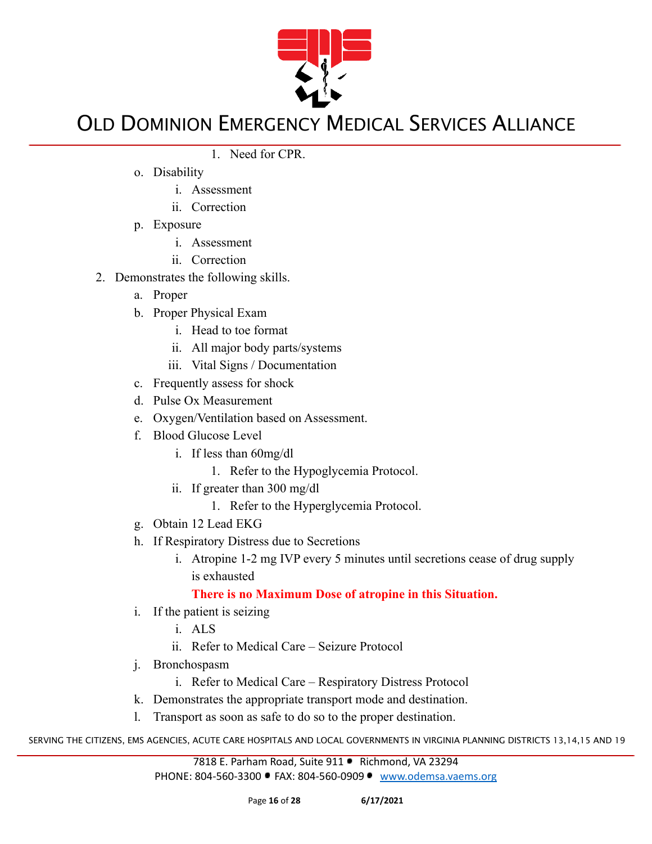

- 1. Need for CPR.
- o. Disability
	- i. Assessment
	- ii. Correction
- p. Exposure
	- i. Assessment
	- ii. Correction
- 2. Demonstrates the following skills.
	- a. Proper
	- b. Proper Physical Exam
		- i. Head to toe format
		- ii. All major body parts/systems
		- iii. Vital Signs / Documentation
	- c. Frequently assess for shock
	- d. Pulse Ox Measurement
	- e. Oxygen/Ventilation based on Assessment.
	- f. Blood Glucose Level
		- i. If less than 60mg/dl
			- 1. Refer to the Hypoglycemia Protocol.
		- ii. If greater than 300 mg/dl
			- 1. Refer to the Hyperglycemia Protocol.
	- g. Obtain 12 Lead EKG
	- h. If Respiratory Distress due to Secretions
		- i. Atropine 1-2 mg IVP every 5 minutes until secretions cease of drug supply is exhausted

### **There is no Maximum Dose of atropine in this Situation.**

- i. If the patient is seizing
	- i. ALS
	- ii. Refer to Medical Care Seizure Protocol
- j. Bronchospasm
	- i. Refer to Medical Care Respiratory Distress Protocol
- k. Demonstrates the appropriate transport mode and destination.
- l. Transport as soon as safe to do so to the proper destination.

SERVING THE CITIZENS, EMS AGENCIES, ACUTE CARE HOSPITALS AND LOCAL GOVERNMENTS IN VIRGINIA PLANNING DISTRICTS 13,14,15 AND 19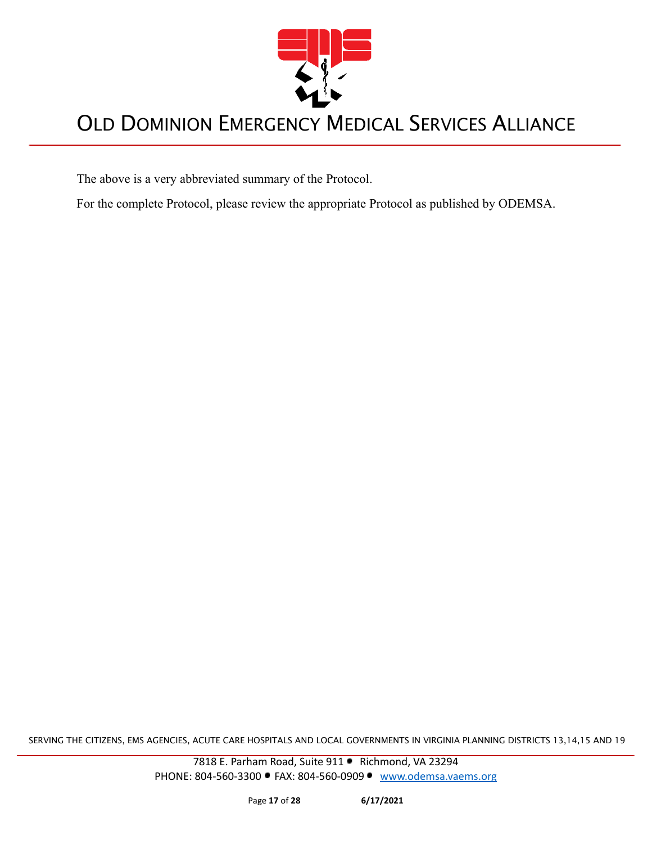

The above is a very abbreviated summary of the Protocol.

For the complete Protocol, please review the appropriate Protocol as published by ODEMSA.

SERVING THE CITIZENS, EMS AGENCIES, ACUTE CARE HOSPITALS AND LOCAL GOVERNMENTS IN VIRGINIA PLANNING DISTRICTS 13,14,15 AND 19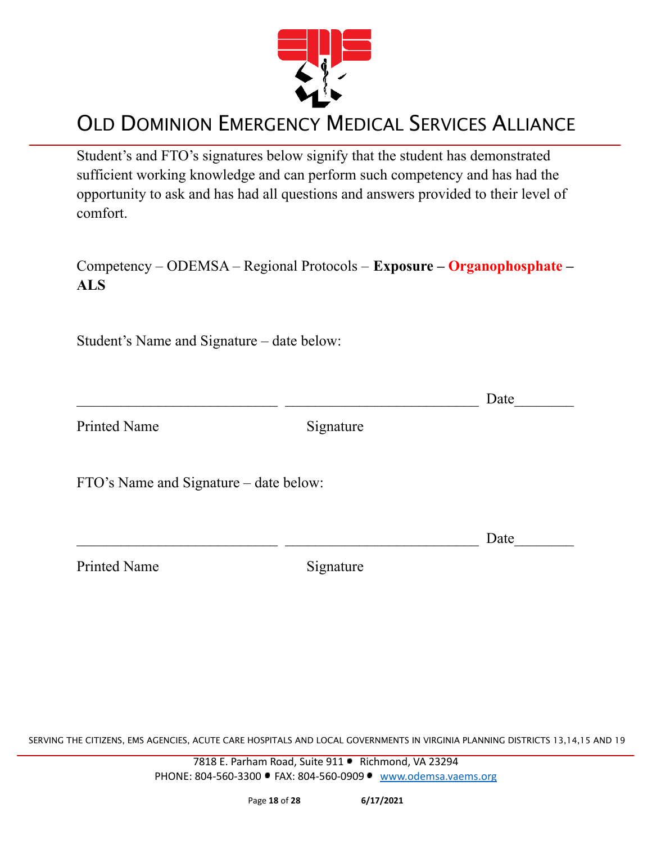

Student's and FTO's signatures below signify that the student has demonstrated sufficient working knowledge and can perform such competency and has had the opportunity to ask and has had all questions and answers provided to their level of comfort.

| Competency – ODEMSA – Regional Protocols – Exposure – Organophosphate – |  |
|-------------------------------------------------------------------------|--|
| ALS                                                                     |  |

Student's Name and Signature – date below:

Printed Name Signature

 $\Box$  Date

FTO's Name and Signature – date below:

Printed Name Signature

SERVING THE CITIZENS, EMS AGENCIES, ACUTE CARE HOSPITALS AND LOCAL GOVERNMENTS IN VIRGINIA PLANNING DISTRICTS 13,14,15 AND 19

7818 E. Parham Road, Suite 911 · Richmond, VA 23294 PHONE: 804-560-3300 • FAX: 804-560-0909 • [www.odemsa.vaems.org](http://www.odemsa.vaems.org)

 $\Box$  Date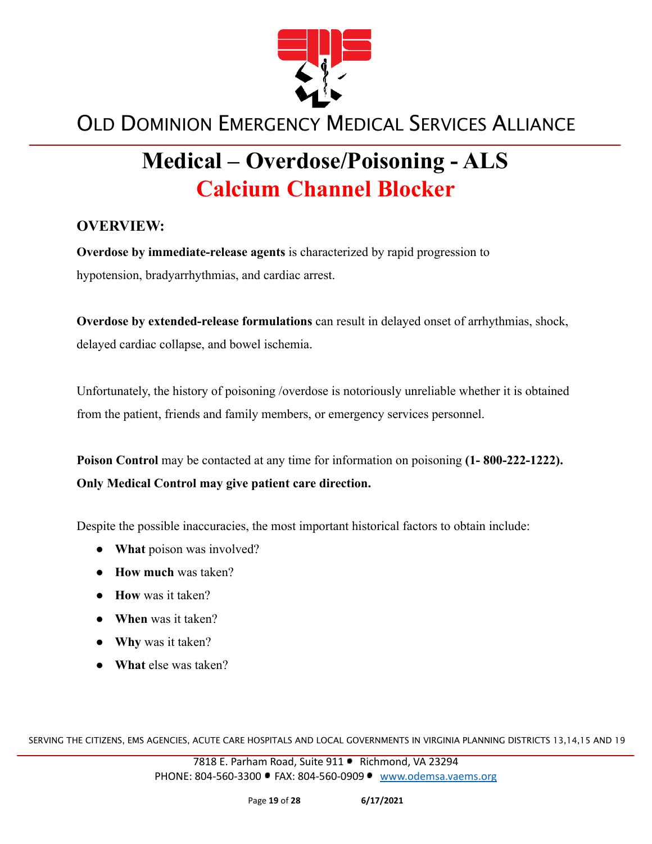

# **Medical – Overdose/Poisoning - ALS Calcium Channel Blocker**

### **OVERVIEW:**

**Overdose by immediate-release agents** is characterized by rapid progression to hypotension, bradyarrhythmias, and cardiac arrest.

**Overdose by extended-release formulations** can result in delayed onset of arrhythmias, shock, delayed cardiac collapse, and bowel ischemia.

Unfortunately, the history of poisoning /overdose is notoriously unreliable whether it is obtained from the patient, friends and family members, or emergency services personnel.

**Poison Control** may be contacted at any time for information on poisoning **(1- 800-222-1222). Only Medical Control may give patient care direction.**

Despite the possible inaccuracies, the most important historical factors to obtain include:

- **What** poison was involved?
- **How much** was taken?
- **How** was it taken?
- **When** was it taken?
- **● Why** was it taken?
- **● What** else was taken?

SERVING THE CITIZENS, EMS AGENCIES, ACUTE CARE HOSPITALS AND LOCAL GOVERNMENTS IN VIRGINIA PLANNING DISTRICTS 13,14,15 AND 19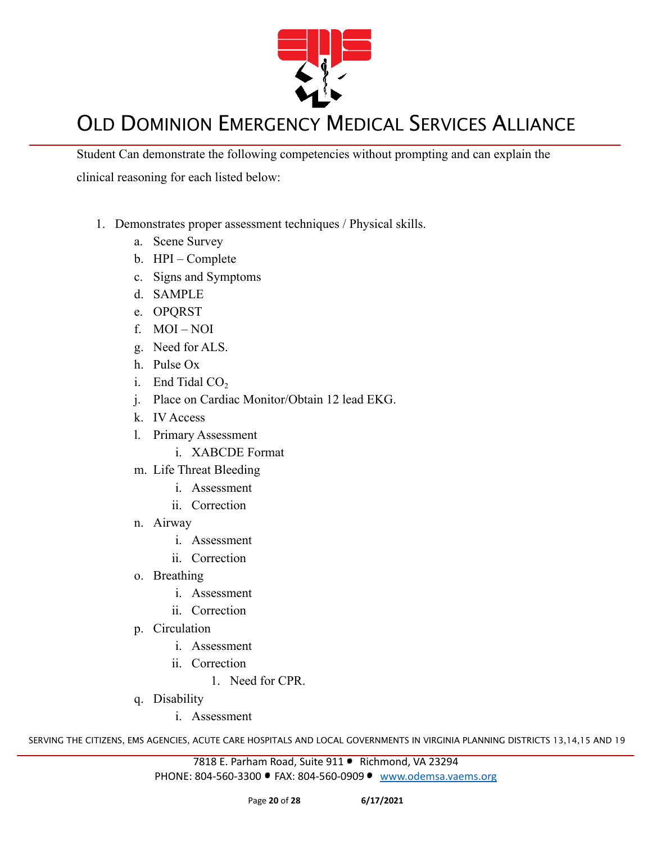

Student Can demonstrate the following competencies without prompting and can explain the clinical reasoning for each listed below:

- 1. Demonstrates proper assessment techniques / Physical skills.
	- a. Scene Survey
	- b. HPI Complete
	- c. Signs and Symptoms
	- d. SAMPLE
	- e. OPQRST
	- f. MOI NOI
	- g. Need for ALS.
	- h. Pulse Ox
	- i. End Tidal  $CO<sub>2</sub>$
	- j. Place on Cardiac Monitor/Obtain 12 lead EKG.
	- k. IV Access
	- l. Primary Assessment
		- i. XABCDE Format
	- m. Life Threat Bleeding
		- i. Assessment
		- ii. Correction
	- n. Airway
		- i. Assessment
		- ii. Correction
	- o. Breathing
		- i. Assessment
		- ii. Correction
	- p. Circulation
		- i. Assessment
		- ii. Correction
			- 1. Need for CPR.
	- q. Disability
		- i. Assessment

SERVING THE CITIZENS, EMS AGENCIES, ACUTE CARE HOSPITALS AND LOCAL GOVERNMENTS IN VIRGINIA PLANNING DISTRICTS 13,14,15 AND 19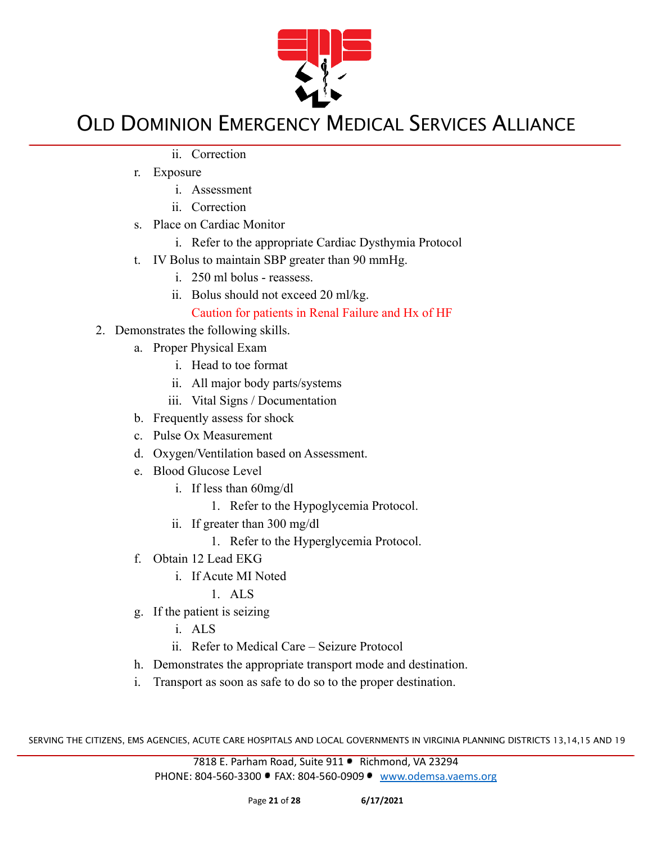

- ii. Correction
- r. Exposure
	- i. Assessment
	- ii. Correction
- s. Place on Cardiac Monitor
	- i. Refer to the appropriate Cardiac Dysthymia Protocol
- t. IV Bolus to maintain SBP greater than 90 mmHg.
	- i. 250 ml bolus reassess.
	- ii. Bolus should not exceed 20 ml/kg.

### Caution for patients in Renal Failure and Hx of HF

- 2. Demonstrates the following skills.
	- a. Proper Physical Exam
		- i. Head to toe format
		- ii. All major body parts/systems
		- iii. Vital Signs / Documentation
	- b. Frequently assess for shock
	- c. Pulse Ox Measurement
	- d. Oxygen/Ventilation based on Assessment.
	- e. Blood Glucose Level
		- i. If less than 60mg/dl
			- 1. Refer to the Hypoglycemia Protocol.
		- ii. If greater than 300 mg/dl
			- 1. Refer to the Hyperglycemia Protocol.
	- f. Obtain 12 Lead EKG
		- i. If Acute MI Noted
			- 1. ALS
	- g. If the patient is seizing
		- i. ALS
		- ii. Refer to Medical Care Seizure Protocol
	- h. Demonstrates the appropriate transport mode and destination.
	- i. Transport as soon as safe to do so to the proper destination.

SERVING THE CITIZENS, EMS AGENCIES, ACUTE CARE HOSPITALS AND LOCAL GOVERNMENTS IN VIRGINIA PLANNING DISTRICTS 13,14,15 AND 19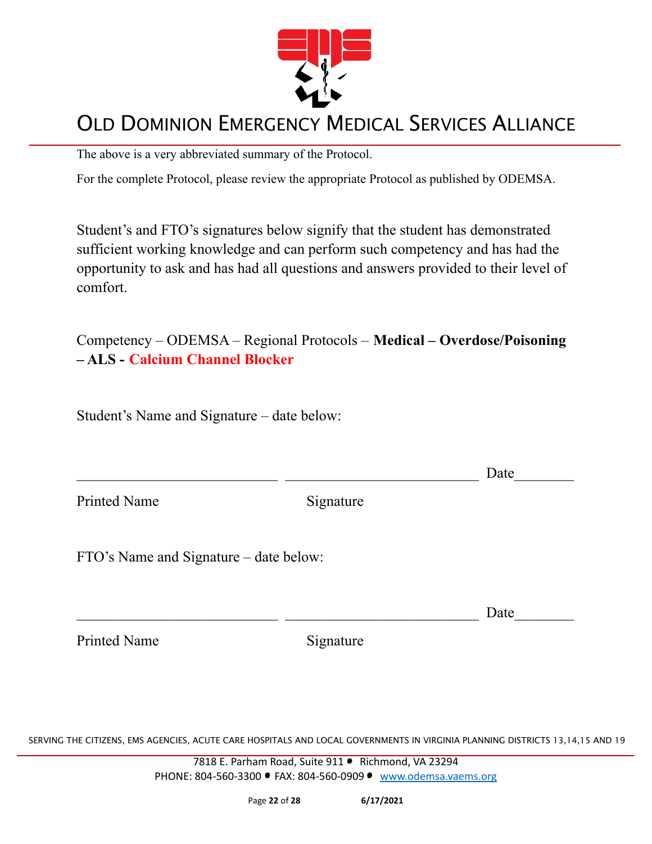

The above is a very abbreviated summary of the Protocol.

For the complete Protocol, please review the appropriate Protocol as published by ODEMSA.

Student's and FTO's signatures below signify that the student has demonstrated sufficient working knowledge and can perform such competency and has had the opportunity to ask and has had all questions and answers provided to their level of comfort.

Competency – ODEMSA – Regional Protocols – **Medical – Overdose/Poisoning – ALS - Calcium Channel Blocker**

Student's Name and Signature – date below:

 $\Box$  Date

Printed Name Signature

FTO's Name and Signature – date below:

 $\Box$  Date

Printed Name Signature

SERVING THE CITIZENS, EMS AGENCIES, ACUTE CARE HOSPITALS AND LOCAL GOVERNMENTS IN VIRGINIA PLANNING DISTRICTS 13,14,15 AND 19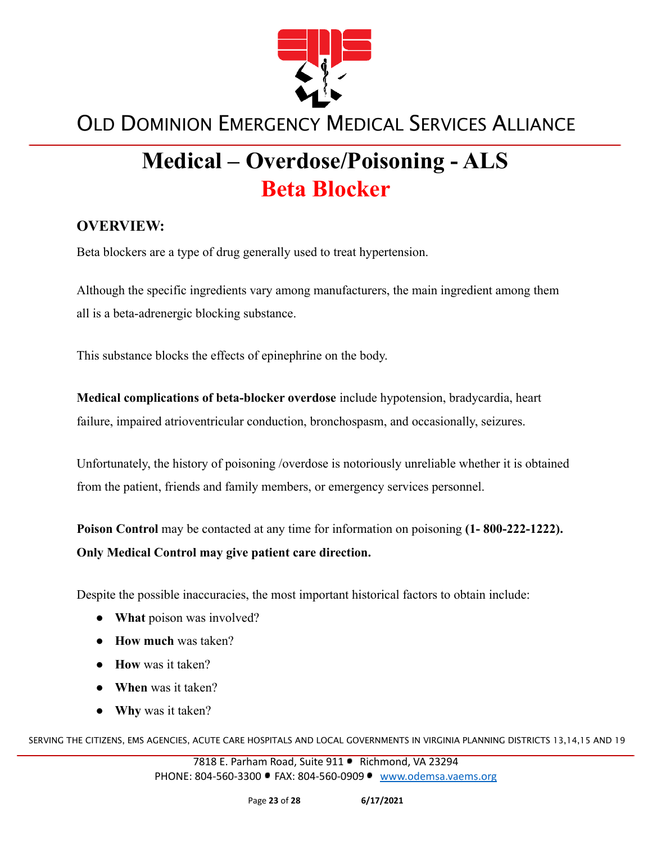

# **Medical – Overdose/Poisoning - ALS Beta Blocker**

### **OVERVIEW:**

Beta blockers are a type of drug generally used to treat hypertension.

Although the specific ingredients vary among manufacturers, the main ingredient among them all is a beta-adrenergic blocking substance.

This substance blocks the effects of epinephrine on the body.

**Medical complications of beta-blocker overdose** include hypotension, bradycardia, heart failure, impaired atrioventricular conduction, bronchospasm, and occasionally, seizures.

Unfortunately, the history of poisoning /overdose is notoriously unreliable whether it is obtained from the patient, friends and family members, or emergency services personnel.

**Poison Control** may be contacted at any time for information on poisoning **(1- 800-222-1222). Only Medical Control may give patient care direction.**

Despite the possible inaccuracies, the most important historical factors to obtain include:

- **What** poison was involved?
- **How much** was taken?
- **How** was it taken?
- **When** was it taken?
- **● Why** was it taken?

SERVING THE CITIZENS, EMS AGENCIES, ACUTE CARE HOSPITALS AND LOCAL GOVERNMENTS IN VIRGINIA PLANNING DISTRICTS 13,14,15 AND 19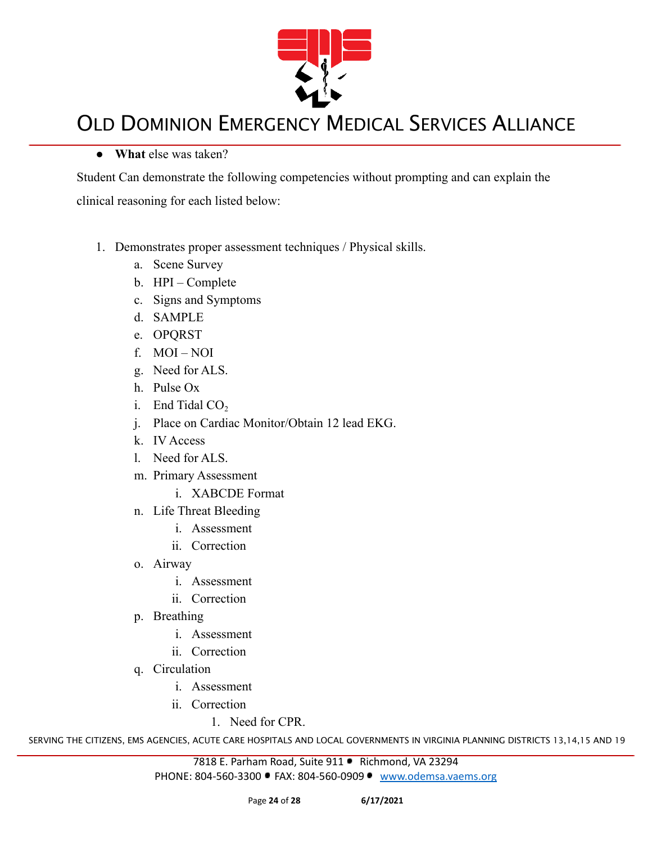

#### **● What** else was taken?

Student Can demonstrate the following competencies without prompting and can explain the clinical reasoning for each listed below:

- 1. Demonstrates proper assessment techniques / Physical skills.
	- a. Scene Survey
	- b. HPI Complete
	- c. Signs and Symptoms
	- d. SAMPLE
	- e. OPQRST
	- f. MOI NOI
	- g. Need for ALS.
	- h. Pulse Ox
	- i. End Tidal  $CO<sub>2</sub>$
	- j. Place on Cardiac Monitor/Obtain 12 lead EKG.
	- k. IV Access
	- l. Need for ALS.
	- m. Primary Assessment
		- i. XABCDE Format
	- n. Life Threat Bleeding
		- i. Assessment
		- ii. Correction
	- o. Airway
		- i. Assessment
		- ii. Correction
	- p. Breathing
		- i. Assessment
		- ii. Correction
	- q. Circulation
		- i. Assessment
		- ii. Correction
			- 1. Need for CPR.

SERVING THE CITIZENS, EMS AGENCIES, ACUTE CARE HOSPITALS AND LOCAL GOVERNMENTS IN VIRGINIA PLANNING DISTRICTS 13,14,15 AND 19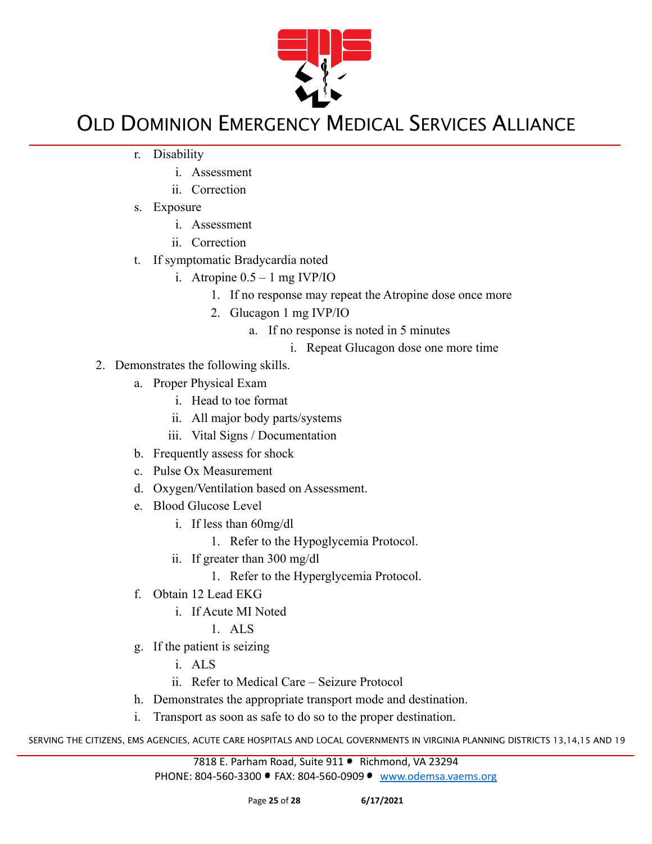

- r. Disability
	- i. Assessment
	- ii. Correction
- s. Exposure
	- i. Assessment
	- ii. Correction
- t. If symptomatic Bradycardia noted
	- i. Atropine  $0.5 1$  mg IVP/IO
		- 1. If no response may repeat the Atropine dose once more
		- 2. Glucagon 1 mg IVP/IO
			- a. If no response is noted in 5 minutes
				- i. Repeat Glucagon dose one more time
- 2. Demonstrates the following skills.
	- a. Proper Physical Exam
		- i. Head to toe format
		- ii. All major body parts/systems
		- iii. Vital Signs / Documentation
	- b. Frequently assess for shock
	- c. Pulse Ox Measurement
	- d. Oxygen/Ventilation based on Assessment.
	- e. Blood Glucose Level
		- i. If less than 60mg/dl
			- 1. Refer to the Hypoglycemia Protocol.
		- ii. If greater than 300 mg/dl
			- 1. Refer to the Hyperglycemia Protocol.
	- f. Obtain 12 Lead EKG
		- i. If Acute MI Noted

1. ALS

- g. If the patient is seizing
	- i. ALS
	- ii. Refer to Medical Care Seizure Protocol
- h. Demonstrates the appropriate transport mode and destination.
- i. Transport as soon as safe to do so to the proper destination.

SERVING THE CITIZENS, EMS AGENCIES, ACUTE CARE HOSPITALS AND LOCAL GOVERNMENTS IN VIRGINIA PLANNING DISTRICTS 13,14,15 AND 19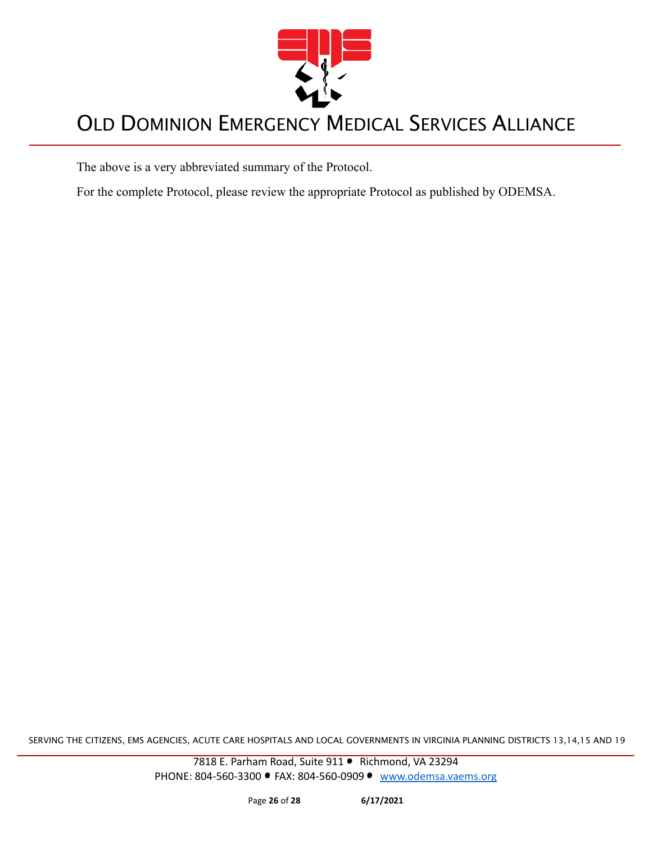

The above is a very abbreviated summary of the Protocol.

For the complete Protocol, please review the appropriate Protocol as published by ODEMSA.

SERVING THE CITIZENS, EMS AGENCIES, ACUTE CARE HOSPITALS AND LOCAL GOVERNMENTS IN VIRGINIA PLANNING DISTRICTS 13,14,15 AND 19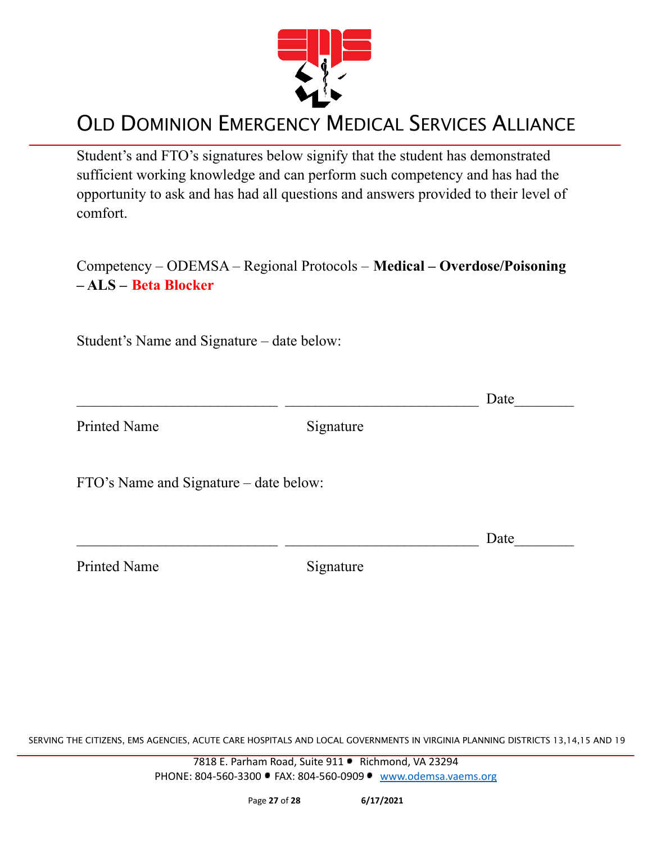

Student's and FTO's signatures below signify that the student has demonstrated sufficient working knowledge and can perform such competency and has had the opportunity to ask and has had all questions and answers provided to their level of comfort.

Competency – ODEMSA – Regional Protocols – **Medical – Overdose/Poisoning – ALS – Beta Blocker**

Student's Name and Signature – date below:

 $\Box$  Date Printed Name Signature

FTO's Name and Signature – date below:

Printed Name Signature

 $\Box$  Date

SERVING THE CITIZENS, EMS AGENCIES, ACUTE CARE HOSPITALS AND LOCAL GOVERNMENTS IN VIRGINIA PLANNING DISTRICTS 13,14,15 AND 19